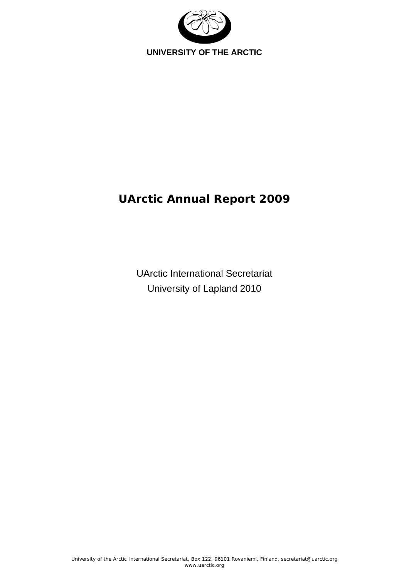

# **UArctic Annual Report 2009**

UArctic International Secretariat University of Lapland 2010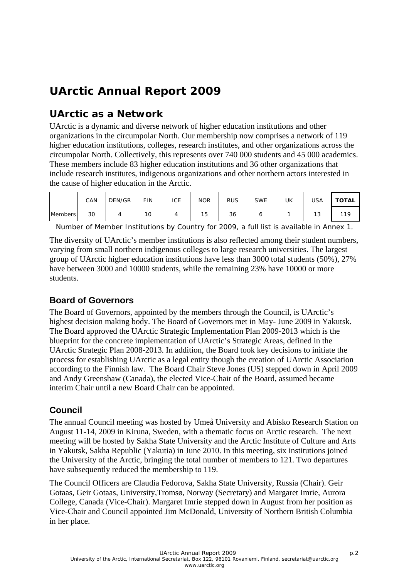# **UArctic Annual Report 2009**

## **UArctic as a Network**

UArctic is a dynamic and diverse network of higher education institutions and other organizations in the circumpolar North. Our membership now comprises a network of 119 higher education institutions, colleges, research institutes, and other organizations across the circumpolar North. Collectively, this represents over 740 000 students and 45 000 academics. These members include 83 higher education institutions and 36 other organizations that include research institutes, indigenous organizations and other northern actors interested in the cause of higher education in the Arctic.

|                | CAN | DEN/GR | FIN | ICE | <b>NOR</b> | <b>RUS</b> | <b>SWE</b> | UK | USA | TOTAL |
|----------------|-----|--------|-----|-----|------------|------------|------------|----|-----|-------|
| <b>Members</b> | 30  |        | 10  |     | 15         | 36         |            |    | 13  | 110   |

Number of Member Institutions by Country for 2009, a full list is available in Annex 1.

The diversity of UArctic's member institutions is also reflected among their student numbers, varying from small northern indigenous colleges to large research universities. The largest group of UArctic higher education institutions have less than 3000 total students (50%), 27% have between 3000 and 10000 students, while the remaining 23% have 10000 or more students.

### **Board of Governors**

The Board of Governors, appointed by the members through the Council, is UArctic's highest decision making body. The Board of Governors met in May- June 2009 in Yakutsk. The Board approved the UArctic Strategic Implementation Plan 2009-2013 which is the blueprint for the concrete implementation of UArctic's Strategic Areas, defined in the UArctic Strategic Plan 2008-2013. In addition, the Board took key decisions to initiate the process for establishing UArctic as a legal entity though the creation of UArctic Association according to the Finnish law. The Board Chair Steve Jones (US) stepped down in April 2009 and Andy Greenshaw (Canada), the elected Vice-Chair of the Board, assumed became interim Chair until a new Board Chair can be appointed.

## **Council**

The annual Council meeting was hosted by Umeå University and Abisko Research Station on August 11-14, 2009 in Kiruna, Sweden, with a thematic focus on Arctic research. The next meeting will be hosted by Sakha State University and the Arctic Institute of Culture and Arts in Yakutsk, Sakha Republic (Yakutia) in June 2010. In this meeting, six institutions joined the University of the Arctic, bringing the total number of members to 121. Two departures have subsequently reduced the membership to 119.

The Council Officers are Claudia Fedorova, Sakha State University, Russia (Chair). Geir Gotaas, Geir Gotaas, University,Tromsø, Norway (Secretary) and Margaret Imrie, Aurora College, Canada (Vice-Chair). Margaret Imrie stepped down in August from her position as Vice-Chair and Council appointed Jim McDonald, University of Northern British Columbia in her place.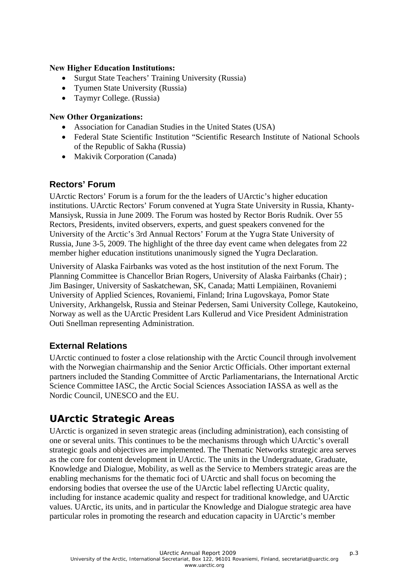#### **New Higher Education Institutions:**

- Surgut State Teachers' Training University (Russia)
- Tyumen State University (Russia)
- Taymyr College. (Russia)

#### **New Other Organizations:**

- Association for Canadian Studies in the United States (USA)
- Federal State Scientific Institution "Scientific Research Institute of National Schools of the Republic of Sakha (Russia)
- Makivik Corporation (Canada)

### **Rectors' Forum**

UArctic Rectors' Forum is a forum for the the leaders of UArctic's higher education institutions. UArctic Rectors' Forum convened at Yugra State University in Russia, Khanty-Mansiysk, Russia in June 2009. The Forum was hosted by Rector Boris Rudnik. Over 55 Rectors, Presidents, invited observers, experts, and guest speakers convened for the University of the Arctic's 3rd Annual Rectors' Forum at the Yugra State University of Russia, June 3-5, 2009. The highlight of the three day event came when delegates from 22 member higher education institutions unanimously signed the Yugra Declaration.

University of Alaska Fairbanks was voted as the host institution of the next Forum. The Planning Committee is Chancellor Brian Rogers, University of Alaska Fairbanks (Chair) ; Jim Basinger, University of Saskatchewan, SK, Canada; Matti Lempiäinen, Rovaniemi University of Applied Sciences, Rovaniemi, Finland; Irina Lugovskaya, Pomor State University, Arkhangelsk, Russia and Steinar Pedersen, Sami University College, Kautokeino, Norway as well as the UArctic President Lars Kullerud and Vice President Administration Outi Snellman representing Administration.

### **External Relations**

UArctic continued to foster a close relationship with the Arctic Council through involvement with the Norwegian chairmanship and the Senior Arctic Officials. Other important external partners included the Standing Committee of Arctic Parliamentarians, the International Arctic Science Committee IASC, the Arctic Social Sciences Association IASSA as well as the Nordic Council, UNESCO and the EU.

## **UArctic Strategic Areas**

UArctic is organized in seven strategic areas (including administration), each consisting of one or several units. This continues to be the mechanisms through which UArctic's overall strategic goals and objectives are implemented. The Thematic Networks strategic area serves as the core for content development in UArctic. The units in the Undergraduate, Graduate, Knowledge and Dialogue, Mobility, as well as the Service to Members strategic areas are the enabling mechanisms for the thematic foci of UArctic and shall focus on becoming the endorsing bodies that oversee the use of the UArctic label reflecting UArctic quality, including for instance academic quality and respect for traditional knowledge, and UArctic values. UArctic, its units, and in particular the Knowledge and Dialogue strategic area have particular roles in promoting the research and education capacity in UArctic's member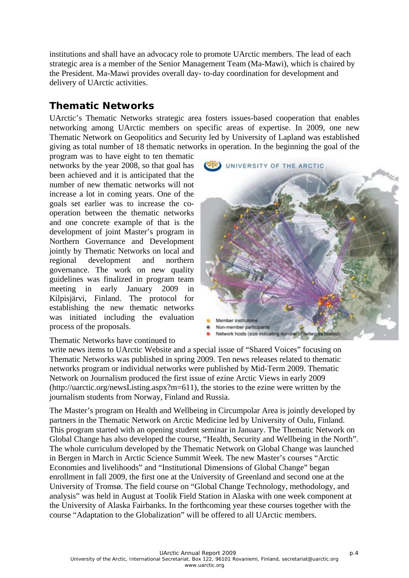institutions and shall have an advocacy role to promote UArctic members. The lead of each strategic area is a member of the Senior Management Team (Ma-Mawi), which is chaired by the President. Ma-Mawi provides overall day- to-day coordination for development and delivery of UArctic activities.

## **Thematic Networks**

UArctic's Thematic Networks strategic area fosters issues-based cooperation that enables networking among UArctic members on specific areas of expertise. In 2009, one new Thematic Network on Geopolitics and Security led by University of Lapland was established giving as total number of 18 thematic networks in operation. In the beginning the goal of the

program was to have eight to ten thematic networks by the year 2008, so that goal has been achieved and it is anticipated that the number of new thematic networks will not increase a lot in coming years. One of the goals set earlier was to increase the cooperation between the thematic networks and one concrete example of that is the development of joint Master's program in Northern Governance and Development jointly by Thematic Networks on local and regional development and northern governance. The work on new quality guidelines was finalized in program team meeting in early January 2009 in Kilpisjärvi, Finland. The protocol for establishing the new thematic networks was initiated including the evaluation process of the proposals.



#### Thematic Networks have continued to

write news items to UArctic Website and a special issue of "Shared Voices" focusing on Thematic Networks was published in spring 2009. Ten news releases related to thematic networks program or individual networks were published by Mid-Term 2009. Thematic Network on Journalism produced the first issue of ezine Arctic Views in early 2009 (http://uarctic.org/newsListing.aspx?m=611), the stories to the ezine were written by the journalism students from Norway, Finland and Russia.

The Master's program on Health and Wellbeing in Circumpolar Area is jointly developed by partners in the Thematic Network on Arctic Medicine led by University of Oulu, Finland. This program started with an opening student seminar in January. The Thematic Network on Global Change has also developed the course, "Health, Security and Wellbeing in the North". The whole curriculum developed by the Thematic Network on Global Change was launched in Bergen in March in Arctic Science Summit Week. The new Master's courses "Arctic Economies and livelihoods" and "Institutional Dimensions of Global Change" began enrollment in fall 2009, the first one at the University of Greenland and second one at the University of Tromsø. The field course on "Global Change Technology, methodology, and analysis" was held in August at Toolik Field Station in Alaska with one week component at the University of Alaska Fairbanks. In the forthcoming year these courses together with the course "Adaptation to the Globalization" will be offered to all UArctic members.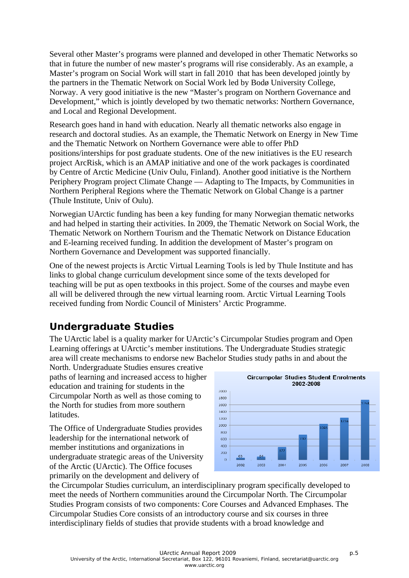Several other Master's programs were planned and developed in other Thematic Networks so that in future the number of new master's programs will rise considerably. As an example, a Master's program on Social Work will start in fall 2010 that has been developed jointly by the partners in the Thematic Network on Social Work led by Bodø University College, Norway. A very good initiative is the new "Master's program on Northern Governance and Development," which is jointly developed by two thematic networks: Northern Governance, and Local and Regional Development.

Research goes hand in hand with education. Nearly all thematic networks also engage in research and doctoral studies. As an example, the Thematic Network on Energy in New Time and the Thematic Network on Northern Governance were able to offer PhD positions/interships for post graduate students. One of the new initiatives is the EU research project ArcRisk, which is an AMAP initiative and one of the work packages is coordinated by Centre of Arctic Medicine (Univ Oulu, Finland). Another good initiative is the Northern Periphery Program project Climate Change — Adapting to The Impacts, by Communities in Northern Peripheral Regions where the Thematic Network on Global Change is a partner (Thule Institute, Univ of Oulu).

Norwegian UArctic funding has been a key funding for many Norwegian thematic networks and had helped in starting their activities. In 2009, the Thematic Network on Social Work, the Thematic Network on Northern Tourism and the Thematic Network on Distance Education and E-learning received funding. In addition the development of Master's program on Northern Governance and Development was supported financially.

One of the newest projects is Arctic Virtual Learning Tools is led by Thule Institute and has links to global change curriculum development since some of the texts developed for teaching will be put as open textbooks in this project. Some of the courses and maybe even all will be delivered through the new virtual learning room. Arctic Virtual Learning Tools received funding from Nordic Council of Ministers' Arctic Programme.

## **Undergraduate Studies**

The UArctic label is a quality marker for UArctic's Circumpolar Studies program and Open Learning offerings at UArctic's member institutions. The Undergraduate Studies strategic area will create mechanisms to endorse new Bachelor Studies study paths in and about the

North. Undergraduate Studies ensures creative paths of learning and increased access to higher education and training for students in the Circumpolar North as well as those coming to the North for studies from more southern latitudes.

The Office of Undergraduate Studies provides leadership for the international network of member institutions and organizations in undergraduate strategic areas of the University of the Arctic (UArctic). The Office focuses primarily on the development and delivery of



the Circumpolar Studies curriculum, an interdisciplinary program specifically developed to meet the needs of Northern communities around the Circumpolar North. The Circumpolar Studies Program consists of two components: Core Courses and Advanced Emphases. The Circumpolar Studies Core consists of an introductory course and six courses in three interdisciplinary fields of studies that provide students with a broad knowledge and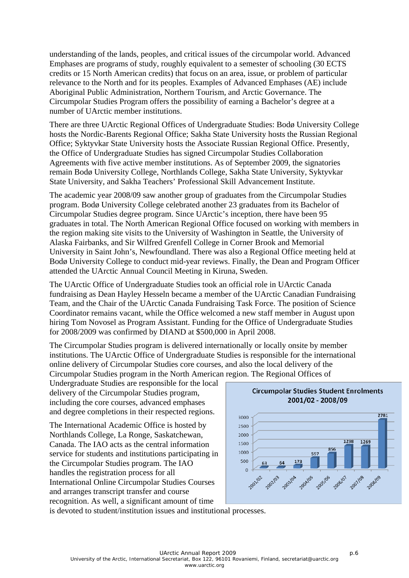understanding of the lands, peoples, and critical issues of the circumpolar world. Advanced Emphases are programs of study, roughly equivalent to a semester of schooling (30 ECTS credits or 15 North American credits) that focus on an area, issue, or problem of particular relevance to the North and for its peoples. Examples of Advanced Emphases (AE) include Aboriginal Public Administration, Northern Tourism, and Arctic Governance. The Circumpolar Studies Program offers the possibility of earning a Bachelor's degree at a number of UArctic member institutions.

There are three UArctic Regional Offices of Undergraduate Studies: Bodø University College hosts the Nordic-Barents Regional Office; Sakha State University hosts the Russian Regional Office; Syktyvkar State University hosts the Associate Russian Regional Office. Presently, the Office of Undergraduate Studies has signed Circumpolar Studies Collaboration Agreements with five active member institutions. As of September 2009, the signatories remain Bodø University College, Northlands College, Sakha State University, Syktyvkar State University, and Sakha Teachers' Professional Skill Advancement Institute.

The academic year 2008/09 saw another group of graduates from the Circumpolar Studies program. Bodø University College celebrated another 23 graduates from its Bachelor of Circumpolar Studies degree program. Since UArctic's inception, there have been 95 graduates in total. The North American Regional Office focused on working with members in the region making site visits to the University of Washington in Seattle, the University of Alaska Fairbanks, and Sir Wilfred Grenfell College in Corner Brook and Memorial University in Saint John's, Newfoundland. There was also a Regional Office meeting held at Bodø University College to conduct mid-year reviews. Finally, the Dean and Program Officer attended the UArctic Annual Council Meeting in Kiruna, Sweden.

The UArctic Office of Undergraduate Studies took an official role in UArctic Canada fundraising as Dean Hayley Hesseln became a member of the UArctic Canadian Fundraising Team, and the Chair of the UArctic Canada Fundraising Task Force. The position of Science Coordinator remains vacant, while the Office welcomed a new staff member in August upon hiring Tom Novosel as Program Assistant. Funding for the Office of Undergraduate Studies for 2008/2009 was confirmed by DIAND at \$500,000 in April 2008.

The Circumpolar Studies program is delivered internationally or locally onsite by member institutions. The UArctic Office of Undergraduate Studies is responsible for the international online delivery of Circumpolar Studies core courses, and also the local delivery of the Circumpolar Studies program in the North American region. The Regional Offices of

Undergraduate Studies are responsible for the local delivery of the Circumpolar Studies program, including the core courses, advanced emphases and degree completions in their respected regions.

The International Academic Office is hosted by Northlands College, La Ronge, Saskatchewan, Canada. The IAO acts as the central information service for students and institutions participating in the Circumpolar Studies program. The IAO handles the registration process for all International Online Circumpolar Studies Courses and arranges transcript transfer and course recognition. As well, a significant amount of time



is devoted to student/institution issues and institutional processes.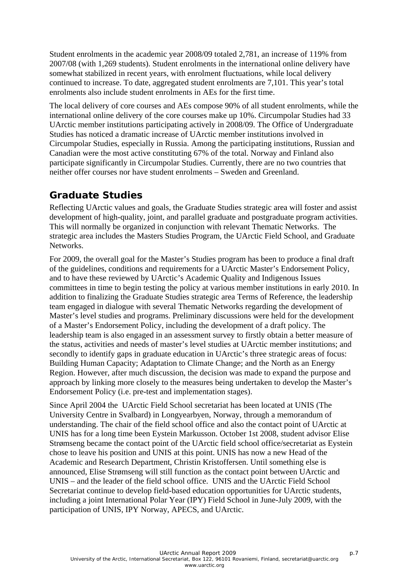Student enrolments in the academic year 2008/09 totaled 2,781, an increase of 119% from 2007/08 (with 1,269 students). Student enrolments in the international online delivery have somewhat stabilized in recent years, with enrolment fluctuations, while local delivery continued to increase. To date, aggregated student enrolments are 7,101. This year's total enrolments also include student enrolments in AEs for the first time.

The local delivery of core courses and AEs compose 90% of all student enrolments, while the international online delivery of the core courses make up 10%. Circumpolar Studies had 33 UArctic member institutions participating actively in 2008/09. The Office of Undergraduate Studies has noticed a dramatic increase of UArctic member institutions involved in Circumpolar Studies, especially in Russia. Among the participating institutions, Russian and Canadian were the most active constituting 67% of the total. Norway and Finland also participate significantly in Circumpolar Studies. Currently, there are no two countries that neither offer courses nor have student enrolments – Sweden and Greenland.

## **Graduate Studies**

Reflecting UArctic values and goals, the Graduate Studies strategic area will foster and assist development of high-quality, joint, and parallel graduate and postgraduate program activities. This will normally be organized in conjunction with relevant Thematic Networks. The strategic area includes the Masters Studies Program, the UArctic Field School, and Graduate **Networks** 

For 2009, the overall goal for the Master's Studies program has been to produce a final draft of the guidelines, conditions and requirements for a UArctic Master's Endorsement Policy, and to have these reviewed by UArctic's Academic Quality and Indigenous Issues committees in time to begin testing the policy at various member institutions in early 2010. In addition to finalizing the Graduate Studies strategic area Terms of Reference, the leadership team engaged in dialogue with several Thematic Networks regarding the development of Master's level studies and programs. Preliminary discussions were held for the development of a Master's Endorsement Policy, including the development of a draft policy. The leadership team is also engaged in an assessment survey to firstly obtain a better measure of the status, activities and needs of master's level studies at UArctic member institutions; and secondly to identify gaps in graduate education in UArctic's three strategic areas of focus: Building Human Capacity; Adaptation to Climate Change; and the North as an Energy Region. However, after much discussion, the decision was made to expand the purpose and approach by linking more closely to the measures being undertaken to develop the Master's Endorsement Policy (i.e. pre-test and implementation stages).

Since April 2004 the UArctic Field School secretariat has been located at UNIS (The University Centre in Svalbard) in Longyearbyen, Norway, through a memorandum of understanding. The chair of the field school office and also the contact point of UArctic at UNIS has for a long time been Eystein Markusson. October 1st 2008, student advisor Elise Strømseng became the contact point of the UArctic field school office/secretariat as Eystein chose to leave his position and UNIS at this point. UNIS has now a new Head of the Academic and Research Department, Christin Kristoffersen. Until something else is announced, Elise Strømseng will still function as the contact point between UArctic and UNIS – and the leader of the field school office. UNIS and the UArctic Field School Secretariat continue to develop field-based education opportunities for UArctic students, including a joint International Polar Year (IPY) Field School in June-July 2009, with the participation of UNIS, IPY Norway, APECS, and UArctic.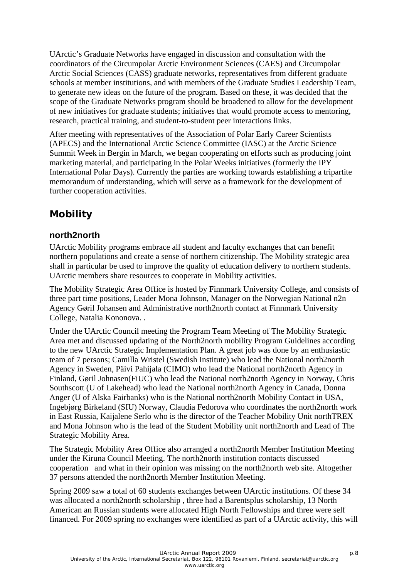UArctic's Graduate Networks have engaged in discussion and consultation with the coordinators of the Circumpolar Arctic Environment Sciences (CAES) and Circumpolar Arctic Social Sciences (CASS) graduate networks, representatives from different graduate schools at member institutions, and with members of the Graduate Studies Leadership Team, to generate new ideas on the future of the program. Based on these, it was decided that the scope of the Graduate Networks program should be broadened to allow for the development of new initiatives for graduate students; initiatives that would promote access to mentoring, research, practical training, and student-to-student peer interactions links.

After meeting with representatives of the Association of Polar Early Career Scientists (APECS) and the International Arctic Science Committee (IASC) at the Arctic Science Summit Week in Bergin in March, we began cooperating on efforts such as producing joint marketing material, and participating in the Polar Weeks initiatives (formerly the IPY International Polar Days). Currently the parties are working towards establishing a tripartite memorandum of understanding, which will serve as a framework for the development of further cooperation activities.

## **Mobility**

### **north2north**

UArctic Mobility programs embrace all student and faculty exchanges that can benefit northern populations and create a sense of northern citizenship. The Mobility strategic area shall in particular be used to improve the quality of education delivery to northern students. UArctic members share resources to cooperate in Mobility activities.

The Mobility Strategic Area Office is hosted by Finnmark University College, and consists of three part time positions, Leader Mona Johnson, Manager on the Norwegian National n2n Agency Gøril Johansen and Administrative north2north contact at Finnmark University College, Natalia Kononova. .

Under the UArctic Council meeting the Program Team Meeting of The Mobility Strategic Area met and discussed updating of the North2north mobility Program Guidelines according to the new UArctic Strategic Implementation Plan. A great job was done by an enthusiastic team of 7 persons; Camilla Wristel (Swedish Institute) who lead the National north2north Agency in Sweden, Päivi Pahijala (CIMO) who lead the National north2north Agency in Finland, Gøril Johnasen(FiUC) who lead the National north2north Agency in Norway, Chris Southscott (U of Lakehead) who lead the National north2north Agency in Canada, Donna Anger (U of Alska Fairbanks) who is the National north2north Mobility Contact in USA, Ingebjørg Birkeland (SIU) Norway, Claudia Fedorova who coordinates the north2north work in East Russia, Kaijalene Serlo who is the director of the Teacher Mobility Unit northTREX and Mona Johnson who is the lead of the Student Mobility unit north2north and Lead of The Strategic Mobility Area.

The Strategic Mobility Area Office also arranged a north2north Member Institution Meeting under the Kiruna Council Meeting. The north2north institution contacts discussed cooperation and what in their opinion was missing on the north2north web site. Altogether 37 persons attended the north2north Member Institution Meeting.

Spring 2009 saw a total of 60 students exchanges between UArctic institutions. Of these 34 was allocated a north2north scholarship, three had a Barentsplus scholarship, 13 North American an Russian students were allocated High North Fellowships and three were self financed. For 2009 spring no exchanges were identified as part of a UArctic activity, this will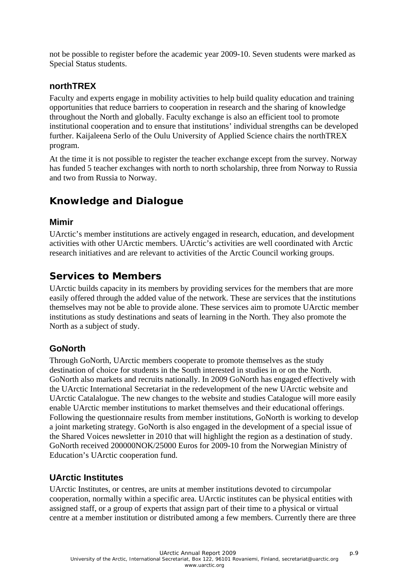not be possible to register before the academic year 2009-10. Seven students were marked as Special Status students.

### **northTREX**

Faculty and experts engage in mobility activities to help build quality education and training opportunities that reduce barriers to cooperation in research and the sharing of knowledge throughout the North and globally. Faculty exchange is also an efficient tool to promote institutional cooperation and to ensure that institutions' individual strengths can be developed further. Kaijaleena Serlo of the Oulu University of Applied Science chairs the northTREX program.

At the time it is not possible to register the teacher exchange except from the survey. Norway has funded 5 teacher exchanges with north to north scholarship, three from Norway to Russia and two from Russia to Norway.

## **Knowledge and Dialogue**

### **Mimir**

UArctic's member institutions are actively engaged in research, education, and development activities with other UArctic members. UArctic's activities are well coordinated with Arctic research initiatives and are relevant to activities of the Arctic Council working groups.

## **Services to Members**

UArctic builds capacity in its members by providing services for the members that are more easily offered through the added value of the network. These are services that the institutions themselves may not be able to provide alone. These services aim to promote UArctic member institutions as study destinations and seats of learning in the North. They also promote the North as a subject of study.

### **GoNorth**

Through GoNorth, UArctic members cooperate to promote themselves as the study destination of choice for students in the South interested in studies in or on the North. GoNorth also markets and recruits nationally. In 2009 GoNorth has engaged effectively with the UArctic International Secretariat in the redevelopment of the new UArctic website and UArctic Catalalogue. The new changes to the website and studies Catalogue will more easily enable UArctic member institutions to market themselves and their educational offerings. Following the questionnaire results from member institutions, GoNorth is working to develop a joint marketing strategy. GoNorth is also engaged in the development of a special issue of the Shared Voices newsletter in 2010 that will highlight the region as a destination of study. GoNorth received 200000NOK/25000 Euros for 2009-10 from the Norwegian Ministry of Education's UArctic cooperation fund.

### **UArctic Institutes**

UArctic Institutes, or centres, are units at member institutions devoted to circumpolar cooperation, normally within a specific area. UArctic institutes can be physical entities with assigned staff, or a group of experts that assign part of their time to a physical or virtual centre at a member institution or distributed among a few members. Currently there are three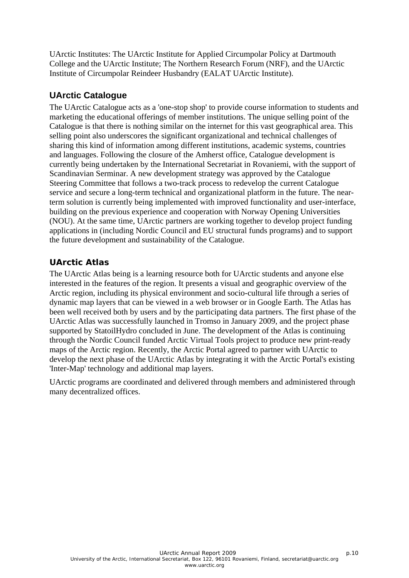UArctic Institutes: The UArctic Institute for Applied Circumpolar Policy at Dartmouth College and the UArctic Institute; The Northern Research Forum (NRF), and the UArctic Institute of Circumpolar Reindeer Husbandry (EALAT UArctic Institute).

### **UArctic Catalogue**

The UArctic Catalogue acts as a 'one-stop shop' to provide course information to students and marketing the educational offerings of member institutions. The unique selling point of the Catalogue is that there is nothing similar on the internet for this vast geographical area. This selling point also underscores the significant organizational and technical challenges of sharing this kind of information among different institutions, academic systems, countries and languages. Following the closure of the Amherst office, Catalogue development is currently being undertaken by the International Secretariat in Rovaniemi, with the support of Scandinavian Serminar. A new development strategy was approved by the Catalogue Steering Committee that follows a two-track process to redevelop the current Catalogue service and secure a long-term technical and organizational platform in the future. The nearterm solution is currently being implemented with improved functionality and user-interface, building on the previous experience and cooperation with Norway Opening Universities (NOU). At the same time, UArctic partners are working together to develop project funding applications in (including Nordic Council and EU structural funds programs) and to support the future development and sustainability of the Catalogue.

### *UArctic Atlas*

The UArctic Atlas being is a learning resource both for UArctic students and anyone else interested in the features of the region. It presents a visual and geographic overview of the Arctic region, including its physical environment and socio-cultural life through a series of dynamic map layers that can be viewed in a web browser or in Google Earth. The Atlas has been well received both by users and by the participating data partners. The first phase of the UArctic Atlas was successfully launched in Tromso in January 2009, and the project phase supported by StatoilHydro concluded in June. The development of the Atlas is continuing through the Nordic Council funded Arctic Virtual Tools project to produce new print-ready maps of the Arctic region. Recently, the Arctic Portal agreed to partner with UArctic to develop the next phase of the UArctic Atlas by integrating it with the Arctic Portal's existing 'Inter-Map' technology and additional map layers.

UArctic programs are coordinated and delivered through members and administered through many decentralized offices.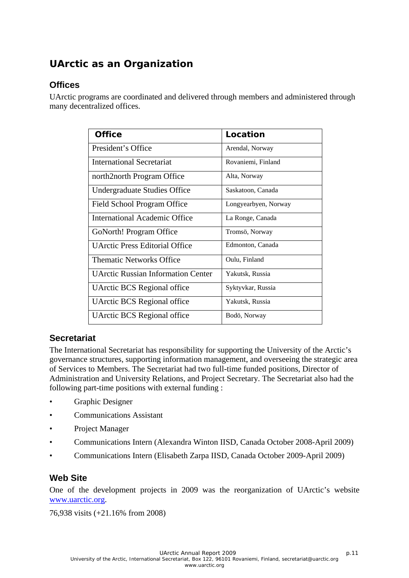## **UArctic as an Organization**

### **Offices**

UArctic programs are coordinated and delivered through members and administered through many decentralized offices.

| <b>Office</b>                             | Location             |
|-------------------------------------------|----------------------|
| President's Office                        | Arendal, Norway      |
| <b>International Secretariat</b>          | Rovaniemi, Finland   |
| north2north Program Office                | Alta, Norway         |
| Undergraduate Studies Office              | Saskatoon, Canada    |
| Field School Program Office               | Longyearbyen, Norway |
| International Academic Office             | La Ronge, Canada     |
| GoNorth! Program Office                   | Tromsö, Norway       |
| <b>UArctic Press Editorial Office</b>     | Edmonton, Canada     |
| <b>Thematic Networks Office</b>           | Oulu, Finland        |
| <b>UArctic Russian Information Center</b> | Yakutsk, Russia      |
| <b>UArctic BCS Regional office</b>        | Syktyvkar, Russia    |
| <b>UArctic BCS Regional office</b>        | Yakutsk, Russia      |
| UArctic BCS Regional office               | Bodö, Norway         |

### **Secretariat**

The International Secretariat has responsibility for supporting the University of the Arctic's governance structures, supporting information management, and overseeing the strategic area of Services to Members. The Secretariat had two full-time funded positions, Director of Administration and University Relations, and Project Secretary. The Secretariat also had the following part-time positions with external funding :

- Graphic Designer
- Communications Assistant
- Project Manager
- Communications Intern (Alexandra Winton IISD, Canada October 2008-April 2009)
- Communications Intern (Elisabeth Zarpa IISD, Canada October 2009-April 2009)

### **Web Site**

One of the development projects in 2009 was the reorganization of UArctic's website [www.uarctic.org.](http://www.uarctic.org/)

76,938 visits (+21.16% from 2008)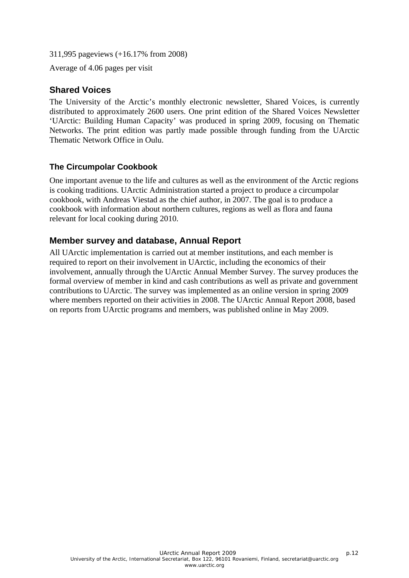311,995 pageviews (+16.17% from 2008)

Average of 4.06 pages per visit

### **Shared Voices**

The University of the Arctic's monthly electronic newsletter, Shared Voices, is currently distributed to approximately 2600 users. One print edition of the Shared Voices Newsletter 'UArctic: Building Human Capacity' was produced in spring 2009, focusing on Thematic Networks. The print edition was partly made possible through funding from the UArctic Thematic Network Office in Oulu.

### **The Circumpolar Cookbook**

One important avenue to the life and cultures as well as the environment of the Arctic regions is cooking traditions. UArctic Administration started a project to produce a circumpolar cookbook, with Andreas Viestad as the chief author, in 2007. The goal is to produce a cookbook with information about northern cultures, regions as well as flora and fauna relevant for local cooking during 2010.

### **Member survey and database, Annual Report**

All UArctic implementation is carried out at member institutions, and each member is required to report on their involvement in UArctic, including the economics of their involvement, annually through the UArctic Annual Member Survey. The survey produces the formal overview of member in kind and cash contributions as well as private and government contributions to UArctic. The survey was implemented as an online version in spring 2009 where members reported on their activities in 2008. The UArctic Annual Report 2008, based on reports from UArctic programs and members, was published online in May 2009.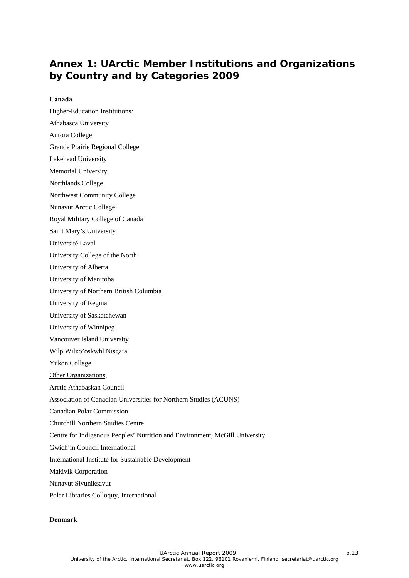## **Annex 1: UArctic Member Institutions and Organizations by Country and by Categories 2009**

#### **Canada**

Higher-Education Institutions:

- Athabasca University
- Aurora College
- Grande Prairie Regional College
- Lakehead University
- Memorial University
- Northlands College
- Northwest Community College
- Nunavut Arctic College
- Royal Military College of Canada
- Saint Mary's University
- Université Laval
- University College of the North
- University of Alberta
- University of Manitoba
- University of Northern British Columbia
- University of Regina
- University of Saskatchewan
- University of Winnipeg
- Vancouver Island University
- Wilp Wilxo'oskwhl Nisga'a
- Yukon College
- Other Organizations:
- Arctic Athabaskan Council
- Association of Canadian Universities for Northern Studies (ACUNS)
- Canadian Polar Commission
- Churchill Northern Studies Centre
- Centre for Indigenous Peoples' Nutrition and Environment, McGill University
- Gwich'in Council International
- International Institute for Sustainable Development
- Makivik Corporation
- Nunavut Sivuniksavut
- Polar Libraries Colloquy, International

#### **Denmark**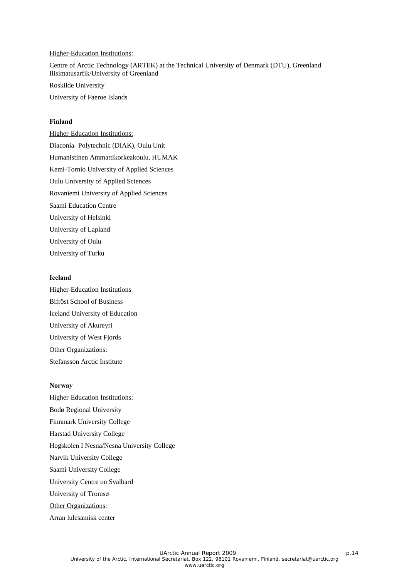#### Higher-Education Institutions:

Centre of Arctic Technology (ARTEK) at the Technical University of Denmark (DTU), Greenland Ilisimatusarfik/University of Greenland

Roskilde University

University of Faeroe Islands

#### **Finland**

Higher-Education Institutions: Diaconia- Polytechnic (DIAK), Oulu Unit Humanistinen Ammattikorkeakoulu, HUMAK Kemi-Tornio University of Applied Sciences Oulu University of Applied Sciences Rovaniemi University of Applied Sciences Saami Education Centre University of Helsinki University of Lapland University of Oulu University of Turku

#### **Iceland**

Higher-Education Institutions Bifröst School of Business Iceland University of Education University of Akureyri University of West Fjords Other Organizations: Stefansson Arctic Institute

#### **Norway**

Higher-Education Institutions: Bodø Regional University Finnmark University College Harstad University College Hogskolen I Nesna/Nesna University College Narvik University College Saami University College University Centre on Svalbard University of Tromsø **Other Organizations:** 

Arran lulesamisk center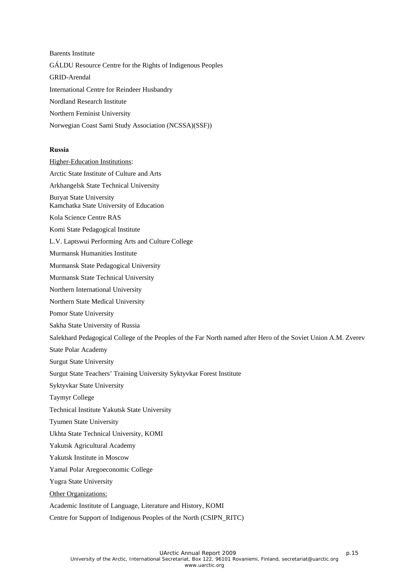Barents Institute GÁLDU Resource Centre for the Rights of Indigenous Peoples GRID-Arendal International Centre for Reindeer Husbandry Nordland Research Institute Northern Feminist University Norwegian Coast Sami Study Association (NCSSA)(SSF))

#### **Russia**

Higher-Education Institutions: Arctic State Institute of Culture and Arts Arkhangelsk State Technical University Buryat State University Kamchatka State University of Education Kola Science Centre RAS Komi State Pedagogical Institute L.V. Laptswui Performing Arts and Culture College Murmansk Humanities Institute Murmansk State Pedagogical University Murmansk State Technical University Northern International University Northern State Medical University Pomor State University Sakha State University of Russia Salekhard Pedagogical College of the Peoples of the Far North named after Hero of the Soviet Union A.M. Zverev State Polar Academy Surgut State University Surgut State Teachers' Training University Syktyvkar Forest Institute Syktyvkar State University Taymyr College Technical Institute Yakutsk State University Tyumen State University Ukhta State Technical University, KOMI Yakutsk Agricultural Academy Yakutsk Institute in Moscow Yamal Polar Aregoeconomic College Yugra State University Other Organizations: Academic Institute of Language, Literature and History, KOMI Centre for Support of Indigenous Peoples of the North (CSIPN\_RITC)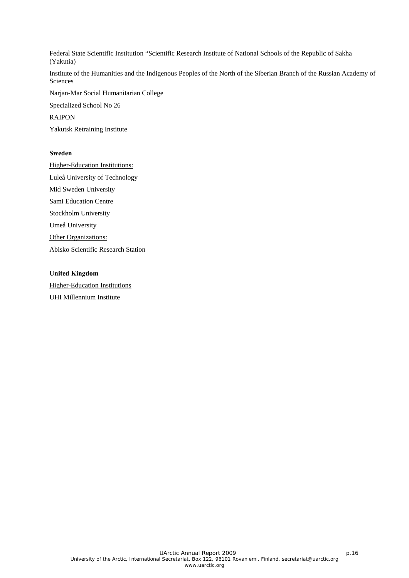Federal State Scientific Institution "Scientific Research Institute of National Schools of the Republic of Sakha (Yakutia)

Institute of the Humanities and the Indigenous Peoples of the North of the Siberian Branch of the Russian Academy of Sciences

Narjan-Mar Social Humanitarian College

Specialized School No 26

RAIPON

Yakutsk Retraining Institute

#### **Sweden**

Higher-Education Institutions: Luleå University of Technology Mid Sweden University Sami Education Centre Stockholm University Umeå University Other Organizations: Abisko Scientific Research Station

#### **United Kingdom**

Higher-Education Institutions UHI Millennium Institute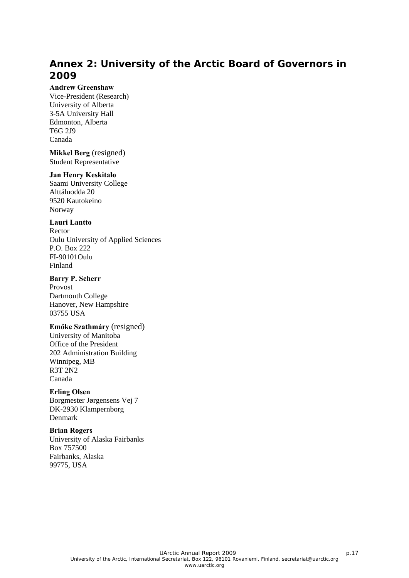## **Annex 2: University of the Arctic Board of Governors in 2009**

#### **Andrew Greenshaw**

Vice-President (Research) University of Alberta 3-5A University Hall Edmonton, Alberta T6G 2J9 Canada

**Mikkel Berg** (resigned) Student Representative

#### **Jan Henry Keskitalo**

Saami University College Alttáluodda 20 9520 Kautokeino Norway

#### **Lauri Lantto**

Rector Oulu University of Applied Sciences P.O. Box 222 FI-90101Oulu Finland

#### **Barry P. Scherr**

Provost Dartmouth College Hanover, New Hampshire 03755 USA

#### **Emőke Szathmáry** (resigned)

University of Manitoba Office of the President 202 Administration Building Winnipeg, MB R3T 2N2 Canada

#### **Erling Olsen**

Borgmester Jørgensens Vej 7 DK-2930 Klampernborg Denmark

#### **Brian Rogers**

University of Alaska Fairbanks Box 757500 Fairbanks, Alaska 99775, USA